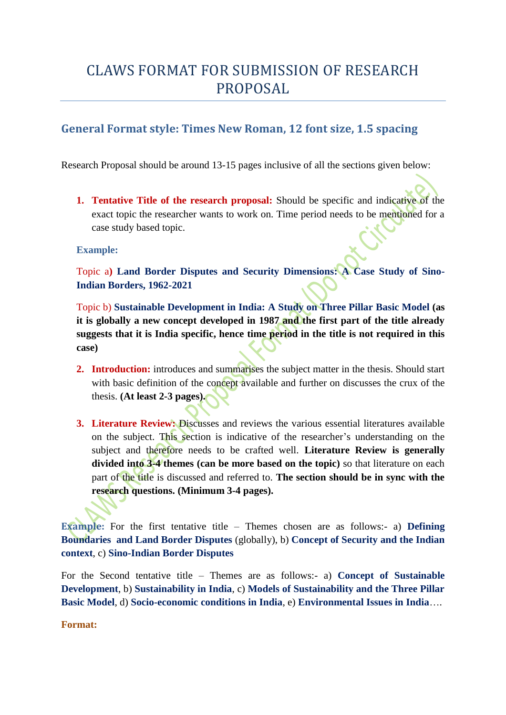# CLAWS FORMAT FOR SUBMISSION OF RESEARCH PROPOSAL

# **General Format style: Times New Roman, 12 font size, 1.5 spacing**

Research Proposal should be around 13-15 pages inclusive of all the sections given below:

**1. Tentative Title of the research proposal:** Should be specific and indicative of the exact topic the researcher wants to work on. Time period needs to be mentioned for a case study based topic.

# **Example:**

Topic a**) Land Border Disputes and Security Dimensions: A Case Study of Sino-Indian Borders, 1962-2021**

Topic b) **Sustainable Development in India: A Study on Three Pillar Basic Model (as it is globally a new concept developed in 1987 and the first part of the title already suggests that it is India specific, hence time period in the title is not required in this case)**

- **2. Introduction:** introduces and summarises the subject matter in the thesis. Should start with basic definition of the concept available and further on discusses the crux of the thesis. **(At least 2-3 pages).**
- **3. Literature Review:** Discusses and reviews the various essential literatures available on the subject. This section is indicative of the researcher's understanding on the subject and therefore needs to be crafted well. **Literature Review is generally divided into 3-4 themes (can be more based on the topic)** so that literature on each part of the title is discussed and referred to. **The section should be in sync with the research questions. (Minimum 3-4 pages).**

**Example:** For the first tentative title – Themes chosen are as follows:- a) **Defining Boundaries and Land Border Disputes** (globally), b) **Concept of Security and the Indian context**, c) **Sino-Indian Border Disputes**

For the Second tentative title – Themes are as follows:- a) **Concept of Sustainable Development**, b) **Sustainability in India**, c) **Models of Sustainability and the Three Pillar Basic Model**, d) **Socio-economic conditions in India**, e) **Environmental Issues in India**….

**Format:**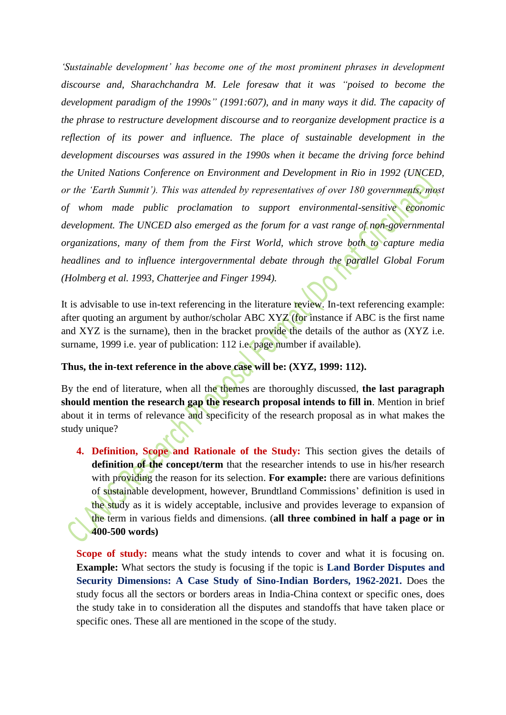*'Sustainable development' has become one of the most prominent phrases in development discourse and, Sharachchandra M. Lele foresaw that it was "poised to become the development paradigm of the 1990s" (1991:607), and in many ways it did. The capacity of the phrase to restructure development discourse and to reorganize development practice is a reflection of its power and influence. The place of sustainable development in the development discourses was assured in the 1990s when it became the driving force behind the United Nations Conference on Environment and Development in Rio in 1992 (UNCED, or the 'Earth Summit'). This was attended by representatives of over 180 governments, most of whom made public proclamation to support environmental-sensitive economic development. The UNCED also emerged as the forum for a vast range of non-governmental organizations, many of them from the First World, which strove both to capture media headlines and to influence intergovernmental debate through the parallel Global Forum (Holmberg et al. 1993, Chatterjee and Finger 1994).* 

It is advisable to use in-text referencing in the literature review. In-text referencing example: after quoting an argument by author/scholar ABC XYZ (for instance if ABC is the first name and XYZ is the surname), then in the bracket provide the details of the author as (XYZ i.e. surname, 1999 i.e. year of publication: 112 i.e. page number if available).

# **Thus, the in-text reference in the above case will be: (XYZ, 1999: 112).**

By the end of literature, when all the themes are thoroughly discussed, **the last paragraph should mention the research gap the research proposal intends to fill in**. Mention in brief about it in terms of relevance and specificity of the research proposal as in what makes the study unique?

**4. Definition, Scope and Rationale of the Study:** This section gives the details of **definition of the concept/term** that the researcher intends to use in his/her research with providing the reason for its selection. **For example:** there are various definitions of sustainable development, however, Brundtland Commissions' definition is used in the study as it is widely acceptable, inclusive and provides leverage to expansion of the term in various fields and dimensions. (**all three combined in half a page or in 400-500 words)**

**Scope of study:** means what the study intends to cover and what it is focusing on. **Example:** What sectors the study is focusing if the topic is **Land Border Disputes and Security Dimensions: A Case Study of Sino-Indian Borders, 1962-2021.** Does the study focus all the sectors or borders areas in India-China context or specific ones, does the study take in to consideration all the disputes and standoffs that have taken place or specific ones. These all are mentioned in the scope of the study.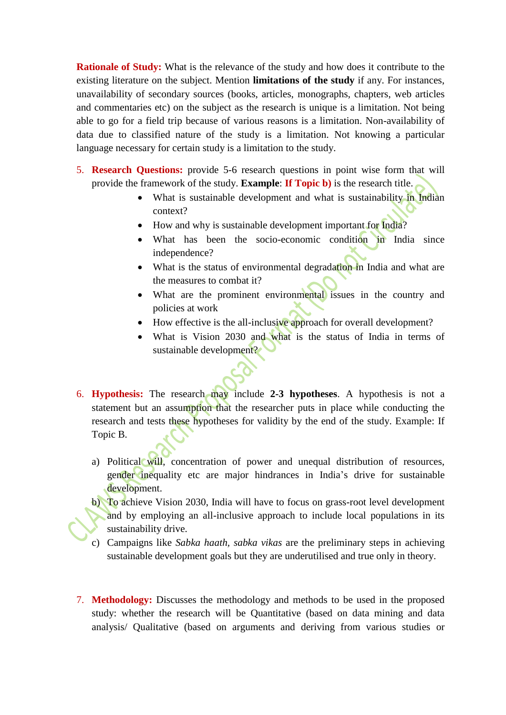**Rationale of Study:** What is the relevance of the study and how does it contribute to the existing literature on the subject. Mention **limitations of the study** if any. For instances, unavailability of secondary sources (books, articles, monographs, chapters, web articles and commentaries etc) on the subject as the research is unique is a limitation. Not being able to go for a field trip because of various reasons is a limitation. Non-availability of data due to classified nature of the study is a limitation. Not knowing a particular language necessary for certain study is a limitation to the study.

- 5. **Research Questions:** provide 5-6 research questions in point wise form that will provide the framework of the study. **Example**: **If Topic b)** is the research title.
	- What is sustainable development and what is sustainability in Indian context?
	- How and why is sustainable development important for India?
	- What has been the socio-economic condition in India since independence?
	- What is the status of environmental degradation in India and what are the measures to combat it?
	- What are the prominent environmental issues in the country and policies at work
	- How effective is the all-inclusive approach for overall development?
	- What is Vision 2030 and what is the status of India in terms of sustainable development?
- 6. **Hypothesis:** The research may include **2-3 hypotheses**. A hypothesis is not a statement but an assumption that the researcher puts in place while conducting the research and tests these hypotheses for validity by the end of the study. Example: If Topic B.
	- a) Political will, concentration of power and unequal distribution of resources, gender inequality etc are major hindrances in India's drive for sustainable development.
	- b) To achieve Vision 2030, India will have to focus on grass-root level development and by employing an all-inclusive approach to include local populations in its sustainability drive.
	- c) Campaigns like *Sabka haath, sabka vikas* are the preliminary steps in achieving sustainable development goals but they are underutilised and true only in theory.
- 7. **Methodology:** Discusses the methodology and methods to be used in the proposed study: whether the research will be Quantitative (based on data mining and data analysis/ Qualitative (based on arguments and deriving from various studies or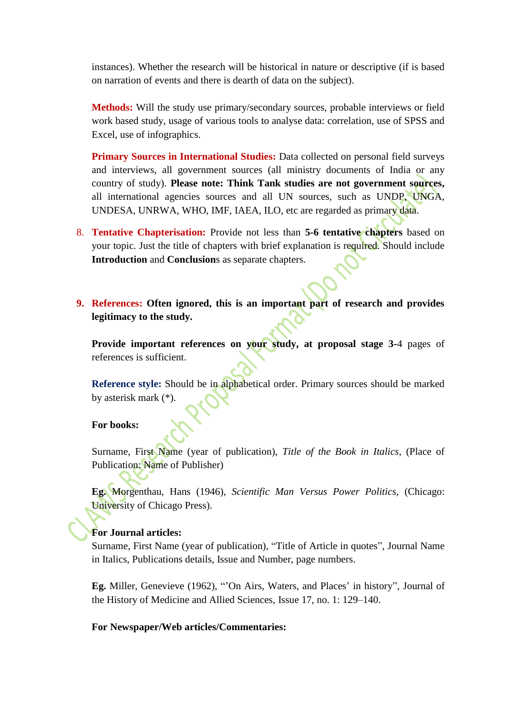instances). Whether the research will be historical in nature or descriptive (if is based on narration of events and there is dearth of data on the subject).

**Methods:** Will the study use primary/secondary sources, probable interviews or field work based study, usage of various tools to analyse data: correlation, use of SPSS and Excel, use of infographics.

**Primary Sources in International Studies:** Data collected on personal field surveys and interviews, all government sources (all ministry documents of India or any country of study). **Please note: Think Tank studies are not government sources,** all international agencies sources and all UN sources, such as UNDP, UNGA, UNDESA, UNRWA, WHO, IMF, IAEA, ILO, etc are regarded as primary data.

- 8. **Tentative Chapterisation:** Provide not less than **5-6 tentative chapters** based on your topic. Just the title of chapters with brief explanation is required. Should include **Introduction** and **Conclusion**s as separate chapters.
- **9. References: Often ignored, this is an important part of research and provides legitimacy to the study.**

**Provide important references on your study, at proposal stage 3-**4 pages of references is sufficient.

**Reference style:** Should be in alphabetical order. Primary sources should be marked by asterisk mark (\*).

# **For books:**

Surname, First Name (year of publication), *Title of the Book in Italics*, (Place of Publication: Name of Publisher)

**Eg.** Morgenthau, Hans (1946), *Scientific Man Versus Power Politics*, (Chicago: University of Chicago Press).

#### **For Journal articles:**

Surname, First Name (year of publication), "Title of Article in quotes", Journal Name in Italics, Publications details, Issue and Number, page numbers.

**Eg.** Miller, Genevieve (1962), "'On Airs, Waters, and Places' in history", Journal of the History of Medicine and Allied Sciences, Issue 17, no. 1: 129–140.

#### **For Newspaper/Web articles/Commentaries:**